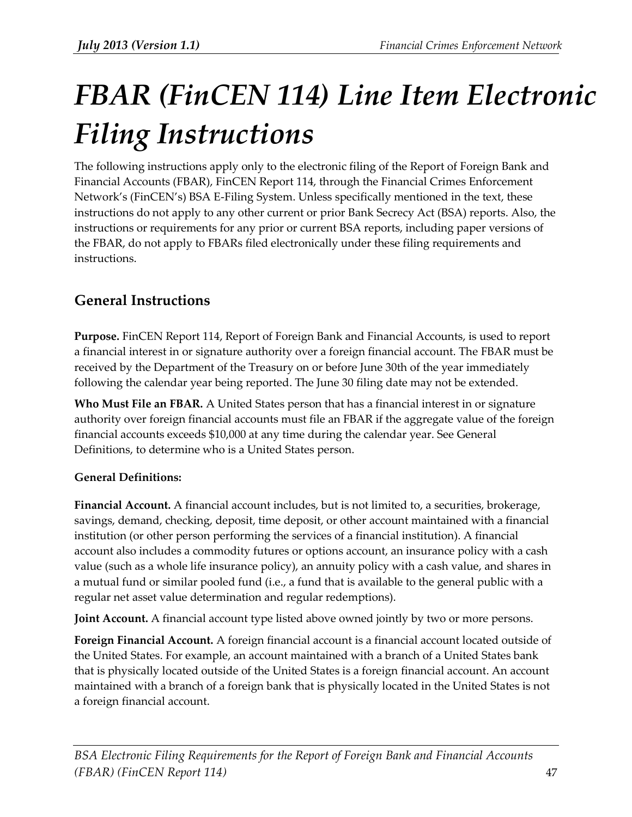# *FBAR (FinCEN 114) Line Item Electronic Filing Instructions*

The following instructions apply only to the electronic filing of the Report of Foreign Bank and Financial Accounts (FBAR), FinCEN Report 114, through the Financial Crimes Enforcement Network's (FinCEN's) BSA E-Filing System. Unless specifically mentioned in the text, these instructions do not apply to any other current or prior Bank Secrecy Act (BSA) reports. Also, the instructions or requirements for any prior or current BSA reports, including paper versions of the FBAR, do not apply to FBARs filed electronically under these filing requirements and instructions.

# **General Instructions**

**Purpose.** FinCEN Report 114, Report of Foreign Bank and Financial Accounts, is used to report a financial interest in or signature authority over a foreign financial account. The FBAR must be received by the Department of the Treasury on or before June 30th of the year immediately following the calendar year being reported. The June 30 filing date may not be extended.

**Who Must File an FBAR.** A United States person that has a financial interest in or signature authority over foreign financial accounts must file an FBAR if the aggregate value of the foreign financial accounts exceeds \$10,000 at any time during the calendar year. See General Definitions, to determine who is a United States person.

#### **General Definitions:**

**Financial Account.** A financial account includes, but is not limited to, a securities, brokerage, savings, demand, checking, deposit, time deposit, or other account maintained with a financial institution (or other person performing the services of a financial institution). A financial account also includes a commodity futures or options account, an insurance policy with a cash value (such as a whole life insurance policy), an annuity policy with a cash value, and shares in a mutual fund or similar pooled fund (i.e., a fund that is available to the general public with a regular net asset value determination and regular redemptions).

**Joint Account.** A financial account type listed above owned jointly by two or more persons.

**Foreign Financial Account.** A foreign financial account is a financial account located outside of the United States. For example, an account maintained with a branch of a United States bank that is physically located outside of the United States is a foreign financial account. An account maintained with a branch of a foreign bank that is physically located in the United States is not a foreign financial account.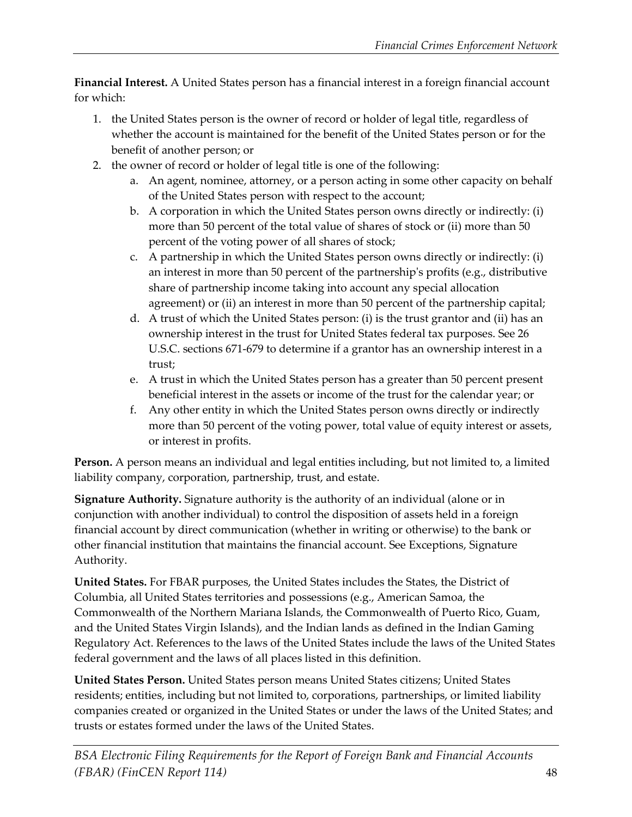**Financial Interest.** A United States person has a financial interest in a foreign financial account for which:

- 1. the United States person is the owner of record or holder of legal title, regardless of whether the account is maintained for the benefit of the United States person or for the benefit of another person; or
- 2. the owner of record or holder of legal title is one of the following:
	- a. An agent, nominee, attorney, or a person acting in some other capacity on behalf of the United States person with respect to the account;
	- b. A corporation in which the United States person owns directly or indirectly: (i) more than 50 percent of the total value of shares of stock or (ii) more than 50 percent of the voting power of all shares of stock;
	- c. A partnership in which the United States person owns directly or indirectly: (i) an interest in more than 50 percent of the partnership's profits (e.g., distributive share of partnership income taking into account any special allocation agreement) or (ii) an interest in more than 50 percent of the partnership capital;
	- d. A trust of which the United States person: (i) is the trust grantor and (ii) has an ownership interest in the trust for United States federal tax purposes. See 26 U.S.C. sections 671-679 to determine if a grantor has an ownership interest in a trust;
	- e. A trust in which the United States person has a greater than 50 percent present beneficial interest in the assets or income of the trust for the calendar year; or
	- f. Any other entity in which the United States person owns directly or indirectly more than 50 percent of the voting power, total value of equity interest or assets, or interest in profits.

**Person.** A person means an individual and legal entities including, but not limited to, a limited liability company, corporation, partnership, trust, and estate.

**Signature Authority.** Signature authority is the authority of an individual (alone or in conjunction with another individual) to control the disposition of assets held in a foreign financial account by direct communication (whether in writing or otherwise) to the bank or other financial institution that maintains the financial account. See Exceptions, Signature Authority.

**United States.** For FBAR purposes, the United States includes the States, the District of Columbia, all United States territories and possessions (e.g., American Samoa, the Commonwealth of the Northern Mariana Islands, the Commonwealth of Puerto Rico, Guam, and the United States Virgin Islands), and the Indian lands as defined in the Indian Gaming Regulatory Act. References to the laws of the United States include the laws of the United States federal government and the laws of all places listed in this definition.

**United States Person.** United States person means United States citizens; United States residents; entities, including but not limited to, corporations, partnerships, or limited liability companies created or organized in the United States or under the laws of the United States; and trusts or estates formed under the laws of the United States.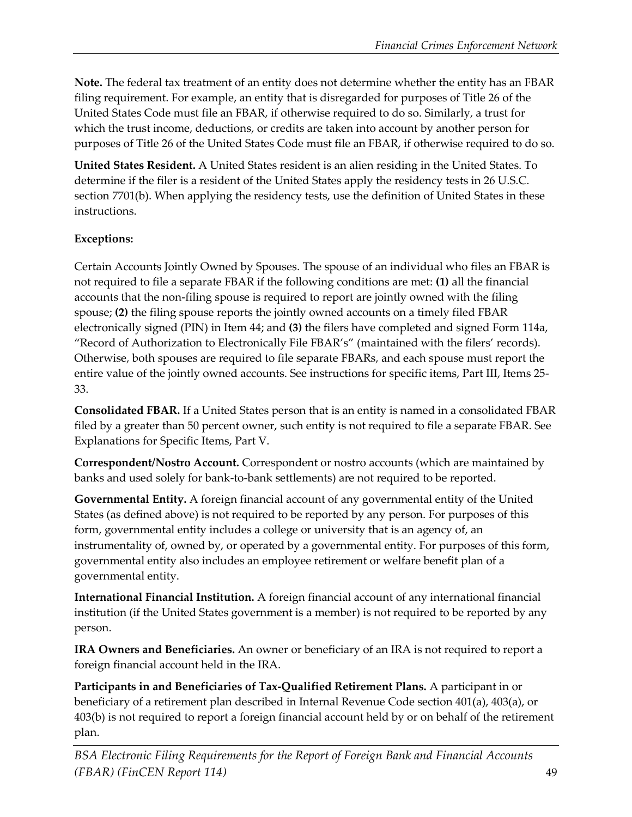**Note.** The federal tax treatment of an entity does not determine whether the entity has an FBAR filing requirement. For example, an entity that is disregarded for purposes of Title 26 of the United States Code must file an FBAR, if otherwise required to do so. Similarly, a trust for which the trust income, deductions, or credits are taken into account by another person for purposes of Title 26 of the United States Code must file an FBAR, if otherwise required to do so.

**United States Resident.** A United States resident is an alien residing in the United States. To determine if the filer is a resident of the United States apply the residency tests in 26 U.S.C. section 7701(b). When applying the residency tests, use the definition of United States in these instructions.

## **Exceptions:**

Certain Accounts Jointly Owned by Spouses. The spouse of an individual who files an FBAR is not required to file a separate FBAR if the following conditions are met: **(1)** all the financial accounts that the non-filing spouse is required to report are jointly owned with the filing spouse; **(2)** the filing spouse reports the jointly owned accounts on a timely filed FBAR electronically signed (PIN) in Item 44; and **(3)** the filers have completed and signed Form 114a, "Record of Authorization to Electronically File FBAR's" (maintained with the filers' records). Otherwise, both spouses are required to file separate FBARs, and each spouse must report the entire value of the jointly owned accounts. See instructions for specific items, Part III, Items 25- 33.

**Consolidated FBAR.** If a United States person that is an entity is named in a consolidated FBAR filed by a greater than 50 percent owner, such entity is not required to file a separate FBAR. See Explanations for Specific Items, Part V.

**Correspondent/Nostro Account.** Correspondent or nostro accounts (which are maintained by banks and used solely for bank-to-bank settlements) are not required to be reported.

**Governmental Entity.** A foreign financial account of any governmental entity of the United States (as defined above) is not required to be reported by any person. For purposes of this form, governmental entity includes a college or university that is an agency of, an instrumentality of, owned by, or operated by a governmental entity. For purposes of this form, governmental entity also includes an employee retirement or welfare benefit plan of a governmental entity.

**International Financial Institution.** A foreign financial account of any international financial institution (if the United States government is a member) is not required to be reported by any person.

**IRA Owners and Beneficiaries.** An owner or beneficiary of an IRA is not required to report a foreign financial account held in the IRA.

**Participants in and Beneficiaries of Tax-Qualified Retirement Plans.** A participant in or beneficiary of a retirement plan described in Internal Revenue Code section 401(a), 403(a), or 403(b) is not required to report a foreign financial account held by or on behalf of the retirement plan.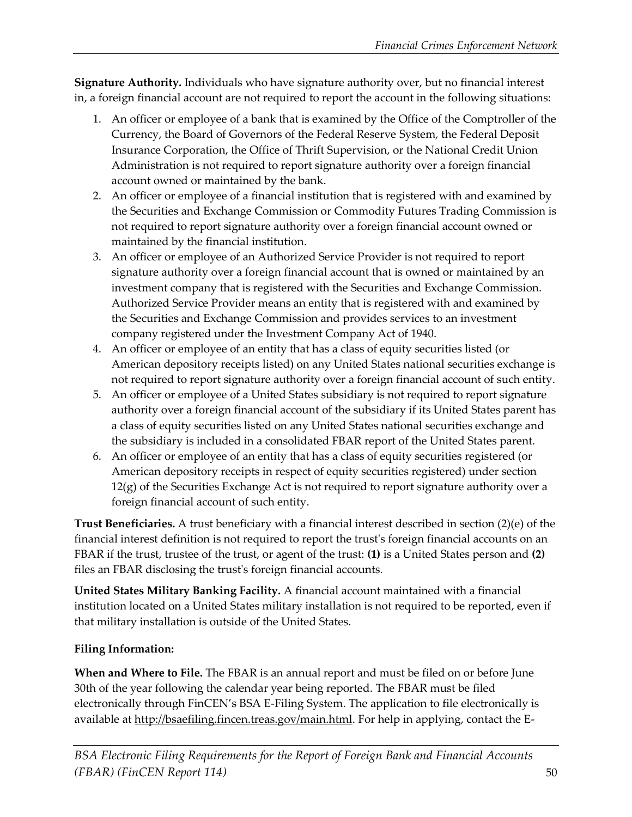**Signature Authority.** Individuals who have signature authority over, but no financial interest in, a foreign financial account are not required to report the account in the following situations:

- 1. An officer or employee of a bank that is examined by the Office of the Comptroller of the Currency, the Board of Governors of the Federal Reserve System, the Federal Deposit Insurance Corporation, the Office of Thrift Supervision, or the National Credit Union Administration is not required to report signature authority over a foreign financial account owned or maintained by the bank.
- 2. An officer or employee of a financial institution that is registered with and examined by the Securities and Exchange Commission or Commodity Futures Trading Commission is not required to report signature authority over a foreign financial account owned or maintained by the financial institution.
- 3. An officer or employee of an Authorized Service Provider is not required to report signature authority over a foreign financial account that is owned or maintained by an investment company that is registered with the Securities and Exchange Commission. Authorized Service Provider means an entity that is registered with and examined by the Securities and Exchange Commission and provides services to an investment company registered under the Investment Company Act of 1940.
- 4. An officer or employee of an entity that has a class of equity securities listed (or American depository receipts listed) on any United States national securities exchange is not required to report signature authority over a foreign financial account of such entity.
- 5. An officer or employee of a United States subsidiary is not required to report signature authority over a foreign financial account of the subsidiary if its United States parent has a class of equity securities listed on any United States national securities exchange and the subsidiary is included in a consolidated FBAR report of the United States parent.
- 6. An officer or employee of an entity that has a class of equity securities registered (or American depository receipts in respect of equity securities registered) under section 12(g) of the Securities Exchange Act is not required to report signature authority over a foreign financial account of such entity.

**Trust Beneficiaries.** A trust beneficiary with a financial interest described in section (2)(e) of the financial interest definition is not required to report the trust's foreign financial accounts on an FBAR if the trust, trustee of the trust, or agent of the trust: **(1)** is a United States person and **(2)** files an FBAR disclosing the trust's foreign financial accounts.

**United States Military Banking Facility.** A financial account maintained with a financial institution located on a United States military installation is not required to be reported, even if that military installation is outside of the United States.

#### **Filing Information:**

**When and Where to File.** The FBAR is an annual report and must be filed on or before June 30th of the year following the calendar year being reported. The FBAR must be filed electronically through FinCEN's BSA E-Filing System. The application to file electronically is available at [http://bsaefiling.fincen.treas.gov/main.html.](http://bsaefiling.fincen.treas.gov/main.html) For help in applying, contact the E-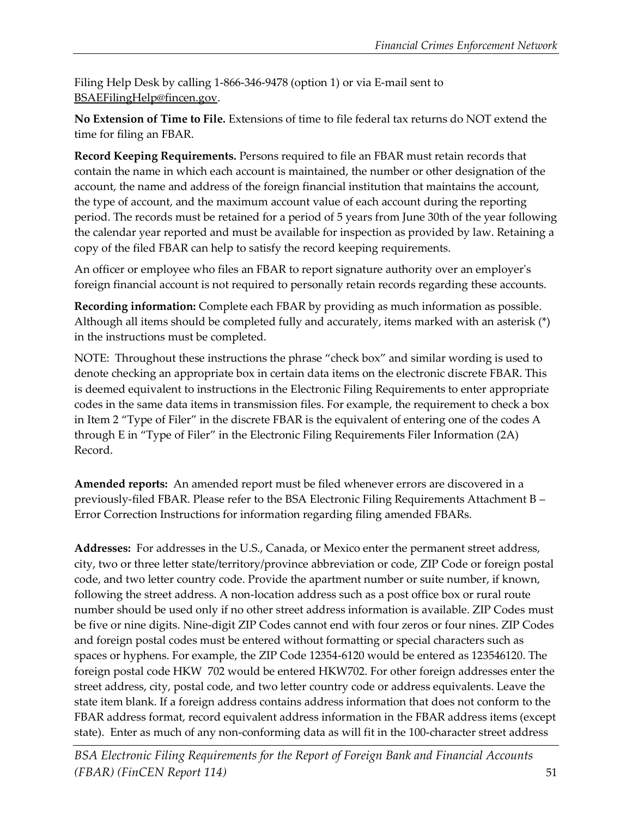Filing Help Desk by calling 1-866-346-9478 (option 1) or via E-mail sent to [BSAEFilingHelp@fincen.gov.](mailto:BSAEFilingHelp@fincen.gov)

**No Extension of Time to File.** Extensions of time to file federal tax returns do NOT extend the time for filing an FBAR.

**Record Keeping Requirements.** Persons required to file an FBAR must retain records that contain the name in which each account is maintained, the number or other designation of the account, the name and address of the foreign financial institution that maintains the account, the type of account, and the maximum account value of each account during the reporting period. The records must be retained for a period of 5 years from June 30th of the year following the calendar year reported and must be available for inspection as provided by law. Retaining a copy of the filed FBAR can help to satisfy the record keeping requirements.

An officer or employee who files an FBAR to report signature authority over an employer's foreign financial account is not required to personally retain records regarding these accounts.

**Recording information:** Complete each FBAR by providing as much information as possible. Although all items should be completed fully and accurately, items marked with an asterisk (\*) in the instructions must be completed.

NOTE: Throughout these instructions the phrase "check box" and similar wording is used to denote checking an appropriate box in certain data items on the electronic discrete FBAR. This is deemed equivalent to instructions in the Electronic Filing Requirements to enter appropriate codes in the same data items in transmission files. For example, the requirement to check a box in Item 2 "Type of Filer" in the discrete FBAR is the equivalent of entering one of the codes A through E in "Type of Filer" in the Electronic Filing Requirements Filer Information (2A) Record.

**Amended reports:** An amended report must be filed whenever errors are discovered in a previously-filed FBAR. Please refer to the BSA Electronic Filing Requirements Attachment B – Error Correction Instructions for information regarding filing amended FBARs.

**Addresses:** For addresses in the U.S., Canada, or Mexico enter the permanent street address, city, two or three letter state/territory/province abbreviation or code, ZIP Code or foreign postal code, and two letter country code. Provide the apartment number or suite number, if known, following the street address. A non-location address such as a post office box or rural route number should be used only if no other street address information is available. ZIP Codes must be five or nine digits. Nine-digit ZIP Codes cannot end with four zeros or four nines. ZIP Codes and foreign postal codes must be entered without formatting or special characters such as spaces or hyphens. For example, the ZIP Code 12354-6120 would be entered as 123546120. The foreign postal code HKW 702 would be entered HKW702. For other foreign addresses enter the street address, city, postal code, and two letter country code or address equivalents. Leave the state item blank. If a foreign address contains address information that does not conform to the FBAR address format, record equivalent address information in the FBAR address items (except state). Enter as much of any non-conforming data as will fit in the 100-character street address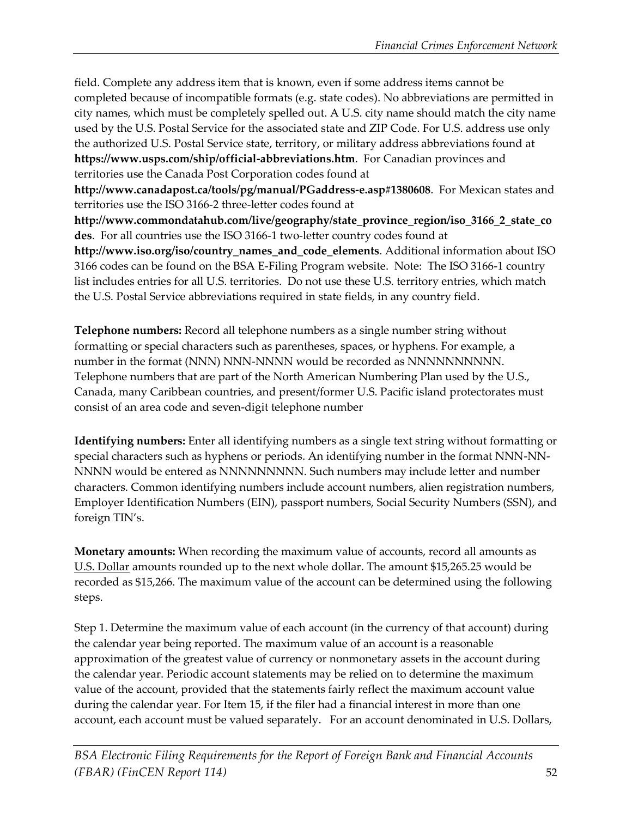field. Complete any address item that is known, even if some address items cannot be completed because of incompatible formats (e.g. state codes). No abbreviations are permitted in city names, which must be completely spelled out. A U.S. city name should match the city name used by the U.S. Postal Service for the associated state and ZIP Code. For U.S. address use only the authorized U.S. Postal Service state, territory, or military address abbreviations found at **https://www.usps.com/ship/official-abbreviations.htm**. For Canadian provinces and territories use the Canada Post Corporation codes found at **http://www.canadapost.ca/tools/pg/manual/PGaddress-e.asp#1380608**. For Mexican states and territories use the ISO 3166-2 three-letter codes found at **http://www.commondatahub.com/live/geography/state\_province\_region/iso\_3166\_2\_state\_co des**. For all countries use the ISO 3166-1 two-letter country codes found at **http://www.iso.org/iso/country\_names\_and\_code\_elements**. Additional information about ISO 3166 codes can be found on the BSA E-Filing Program website. Note: The ISO 3166-1 country list includes entries for all U.S. territories. Do not use these U.S. territory entries, which match the U.S. Postal Service abbreviations required in state fields, in any country field.

**Telephone numbers:** Record all telephone numbers as a single number string without formatting or special characters such as parentheses, spaces, or hyphens. For example, a number in the format (NNN) NNN-NNNN would be recorded as NNNNNNNNNN. Telephone numbers that are part of the North American Numbering Plan used by the U.S., Canada, many Caribbean countries, and present/former U.S. Pacific island protectorates must consist of an area code and seven-digit telephone number

**Identifying numbers:** Enter all identifying numbers as a single text string without formatting or special characters such as hyphens or periods. An identifying number in the format NNN-NN-NNNN would be entered as NNNNNNNNN. Such numbers may include letter and number characters. Common identifying numbers include account numbers, alien registration numbers, Employer Identification Numbers (EIN), passport numbers, Social Security Numbers (SSN), and foreign TIN's.

**Monetary amounts:** When recording the maximum value of accounts, record all amounts as U.S. Dollar amounts rounded up to the next whole dollar. The amount \$15,265.25 would be recorded as \$15,266. The maximum value of the account can be determined using the following steps.

Step 1. Determine the maximum value of each account (in the currency of that account) during the calendar year being reported. The maximum value of an account is a reasonable approximation of the greatest value of currency or nonmonetary assets in the account during the calendar year. Periodic account statements may be relied on to determine the maximum value of the account, provided that the statements fairly reflect the maximum account value during the calendar year. For Item 15, if the filer had a financial interest in more than one account, each account must be valued separately. For an account denominated in U.S. Dollars,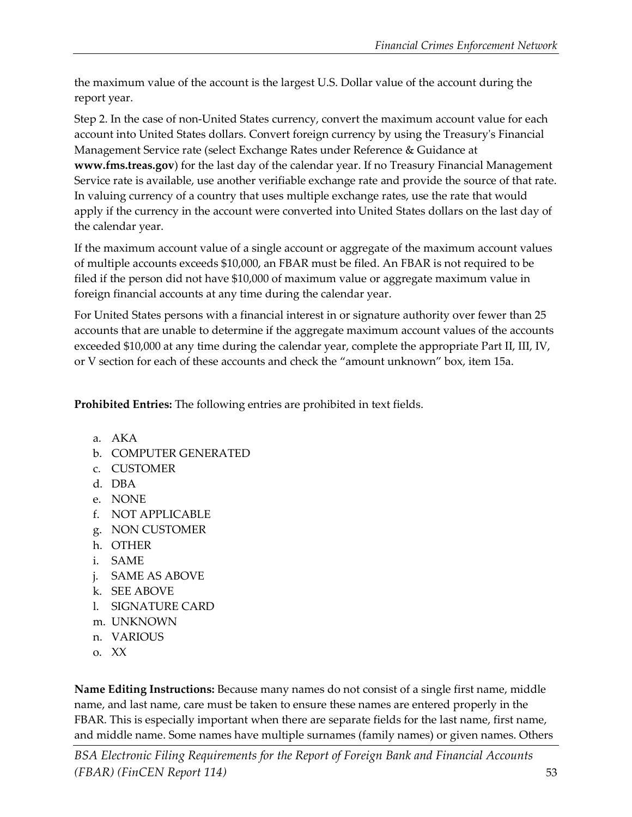the maximum value of the account is the largest U.S. Dollar value of the account during the report year.

Step 2. In the case of non-United States currency, convert the maximum account value for each account into United States dollars. Convert foreign currency by using the Treasury's Financial Management Service rate (select Exchange Rates under Reference & Guidance at **www.fms.treas.gov**) for the last day of the calendar year. If no Treasury Financial Management Service rate is available, use another verifiable exchange rate and provide the source of that rate. In valuing currency of a country that uses multiple exchange rates, use the rate that would apply if the currency in the account were converted into United States dollars on the last day of the calendar year.

If the maximum account value of a single account or aggregate of the maximum account values of multiple accounts exceeds \$10,000, an FBAR must be filed. An FBAR is not required to be filed if the person did not have \$10,000 of maximum value or aggregate maximum value in foreign financial accounts at any time during the calendar year.

For United States persons with a financial interest in or signature authority over fewer than 25 accounts that are unable to determine if the aggregate maximum account values of the accounts exceeded \$10,000 at any time during the calendar year, complete the appropriate Part II, III, IV, or V section for each of these accounts and check the "amount unknown" box, item 15a.

**Prohibited Entries:** The following entries are prohibited in text fields.

- a. AKA
- b. COMPUTER GENERATED
- c. CUSTOMER
- d. DBA
- e. NONE
- f. NOT APPLICABLE
- g. NON CUSTOMER
- h. OTHER
- i. SAME
- j. SAME AS ABOVE
- k. SEE ABOVE
- l. SIGNATURE CARD
- m. UNKNOWN
- n. VARIOUS
- o. XX

**Name Editing Instructions:** Because many names do not consist of a single first name, middle name, and last name, care must be taken to ensure these names are entered properly in the FBAR. This is especially important when there are separate fields for the last name, first name, and middle name. Some names have multiple surnames (family names) or given names. Others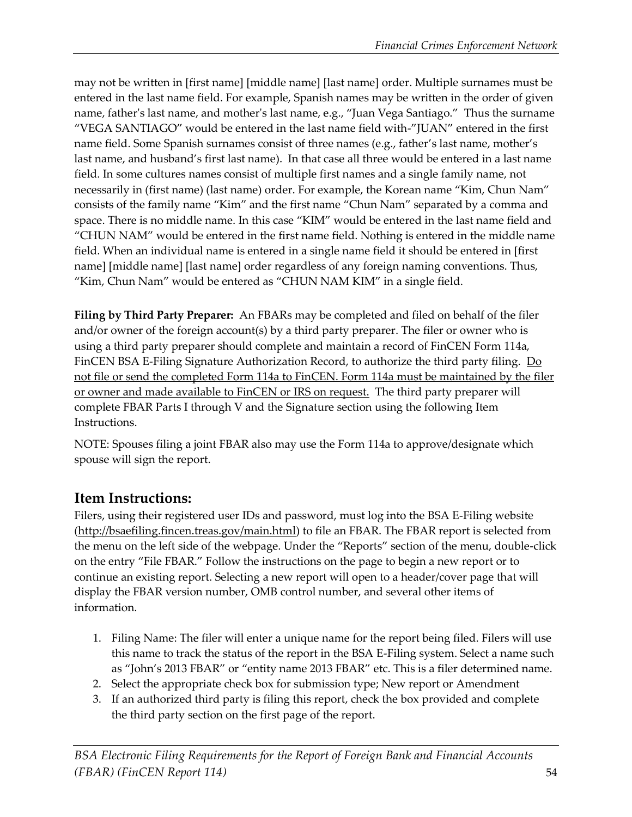may not be written in [first name] [middle name] [last name] order. Multiple surnames must be entered in the last name field. For example, Spanish names may be written in the order of given name, father's last name, and mother's last name, e.g., "Juan Vega Santiago." Thus the surname "VEGA SANTIAGO" would be entered in the last name field with-"JUAN" entered in the first name field. Some Spanish surnames consist of three names (e.g., father's last name, mother's last name, and husband's first last name). In that case all three would be entered in a last name field. In some cultures names consist of multiple first names and a single family name, not necessarily in (first name) (last name) order. For example, the Korean name "Kim, Chun Nam" consists of the family name "Kim" and the first name "Chun Nam" separated by a comma and space. There is no middle name. In this case "KIM" would be entered in the last name field and "CHUN NAM" would be entered in the first name field. Nothing is entered in the middle name field. When an individual name is entered in a single name field it should be entered in [first name] [middle name] [last name] order regardless of any foreign naming conventions. Thus, "Kim, Chun Nam" would be entered as "CHUN NAM KIM" in a single field.

**Filing by Third Party Preparer:** An FBARs may be completed and filed on behalf of the filer and/or owner of the foreign account(s) by a third party preparer. The filer or owner who is using a third party preparer should complete and maintain a record of FinCEN Form 114a, FinCEN BSA E-Filing Signature Authorization Record, to authorize the third party filing. Do not file or send the completed Form 114a to FinCEN. Form 114a must be maintained by the filer or owner and made available to FinCEN or IRS on request. The third party preparer will complete FBAR Parts I through V and the Signature section using the following Item Instructions.

NOTE: Spouses filing a joint FBAR also may use the Form 114a to approve/designate which spouse will sign the report.

# **Item Instructions:**

Filers, using their registered user IDs and password, must log into the BSA E-Filing website [\(http://bsaefiling.fincen.treas.gov/main.html\)](http://bsaefiling.fincen.treas.gov/main.html) to file an FBAR. The FBAR report is selected from the menu on the left side of the webpage. Under the "Reports" section of the menu, double-click on the entry "File FBAR." Follow the instructions on the page to begin a new report or to continue an existing report. Selecting a new report will open to a header/cover page that will display the FBAR version number, OMB control number, and several other items of information.

- 1. Filing Name: The filer will enter a unique name for the report being filed. Filers will use this name to track the status of the report in the BSA E-Filing system. Select a name such as "John's 2013 FBAR" or "entity name 2013 FBAR" etc. This is a filer determined name.
- 2. Select the appropriate check box for submission type; New report or Amendment
- 3. If an authorized third party is filing this report, check the box provided and complete the third party section on the first page of the report.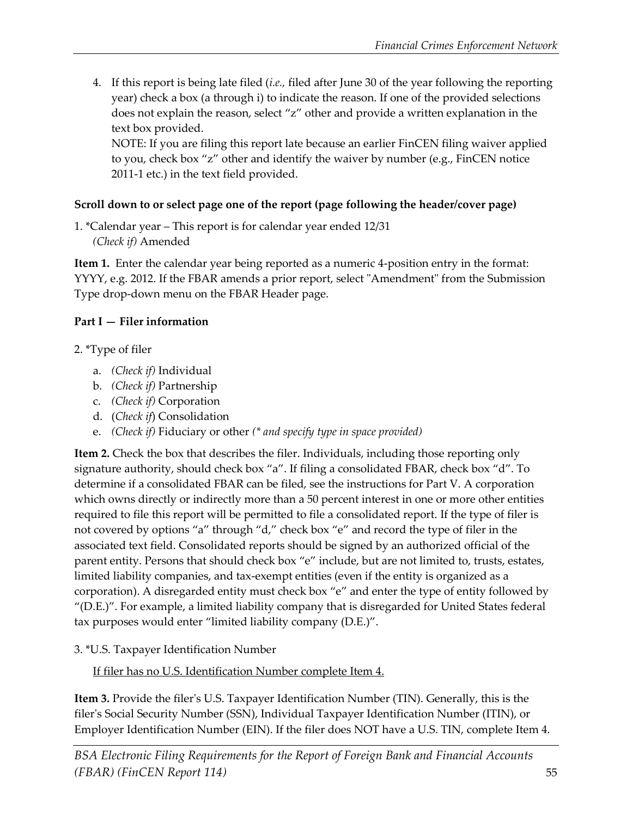4. If this report is being late filed (*i.e.,* filed after June 30 of the year following the reporting year) check a box (a through i) to indicate the reason. If one of the provided selections does not explain the reason, select "z" other and provide a written explanation in the text box provided.

NOTE: If you are filing this report late because an earlier FinCEN filing waiver applied to you, check box "z" other and identify the waiver by number (e.g., FinCEN notice 2011-1 etc.) in the text field provided.

#### **Scroll down to or select page one of the report (page following the header/cover page)**

1. \*Calendar year – This report is for calendar year ended 12/31  *(Check if)* Amended

**Item 1.** Enter the calendar year being reported as a numeric 4-position entry in the format: YYYY, e.g. 2012. If the FBAR amends a prior report, select "Amendment" from the Submission Type drop-down menu on the FBAR Header page.

## **Part I — Filer information**

## 2. \*Type of filer

- a. *(Check if)* Individual
- b. *(Check if)* Partnership
- c. *(Check if)* Corporation
- d. (*Check if*) Consolidation
- e. *(Check if)* Fiduciary or other *(\* and specify type in space provided)*

**Item 2.** Check the box that describes the filer. Individuals, including those reporting only signature authority, should check box "a". If filing a consolidated FBAR, check box "d". To determine if a consolidated FBAR can be filed, see the instructions for Part V. A corporation which owns directly or indirectly more than a 50 percent interest in one or more other entities required to file this report will be permitted to file a consolidated report. If the type of filer is not covered by options "a" through "d," check box "e" and record the type of filer in the associated text field. Consolidated reports should be signed by an authorized official of the parent entity. Persons that should check box "e" include, but are not limited to, trusts, estates, limited liability companies, and tax-exempt entities (even if the entity is organized as a corporation). A disregarded entity must check box "e" and enter the type of entity followed by "(D.E.)". For example, a limited liability company that is disregarded for United States federal tax purposes would enter "limited liability company (D.E.)".

3. \*U.S. Taxpayer Identification Number

If filer has no U.S. Identification Number complete Item 4.

**Item 3.** Provide the filer's U.S. Taxpayer Identification Number (TIN). Generally, this is the filer's Social Security Number (SSN), Individual Taxpayer Identification Number (ITIN), or Employer Identification Number (EIN). If the filer does NOT have a U.S. TIN, complete Item 4.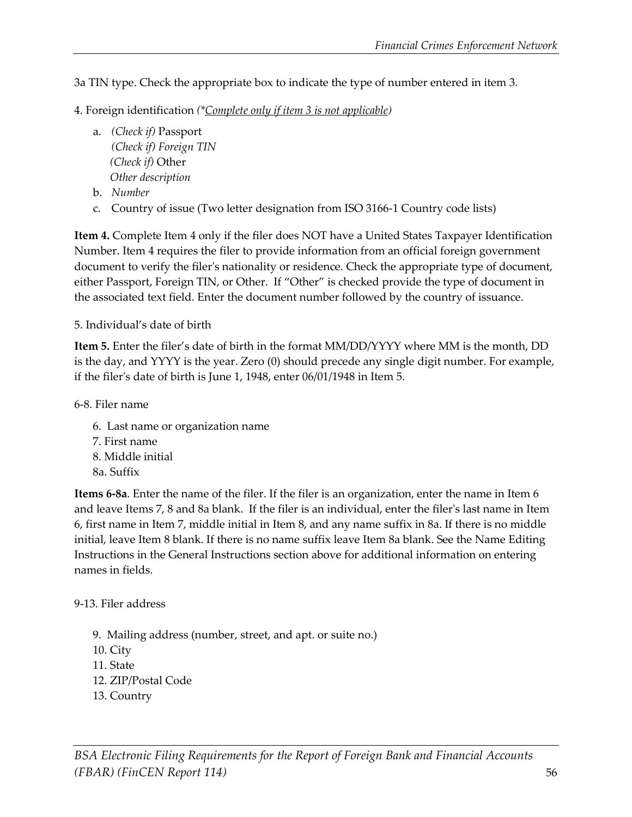3a TIN type. Check the appropriate box to indicate the type of number entered in item 3.

- 4. Foreign identification *(\*Complete only if item 3 is not applicable)* 
	- a. *(Check if)* Passport *(Check if) Foreign TIN (Check if)* Other  *Other description*
	- b. *Number*
	- c. Country of issue (Two letter designation from ISO 3166-1 Country code lists)

**Item 4.** Complete Item 4 only if the filer does NOT have a United States Taxpayer Identification Number. Item 4 requires the filer to provide information from an official foreign government document to verify the filer's nationality or residence. Check the appropriate type of document, either Passport, Foreign TIN, or Other. If "Other" is checked provide the type of document in the associated text field. Enter the document number followed by the country of issuance.

#### 5. Individual's date of birth

**Item 5.** Enter the filer's date of birth in the format MM/DD/YYYY where MM is the month, DD is the day, and YYYY is the year. Zero (0) should precede any single digit number. For example, if the filer's date of birth is June 1, 1948, enter 06/01/1948 in Item 5.

6-8. Filer name

 6. Last name or organization name 7. First name 8. Middle initial 8a. Suffix

**Items 6-8a**. Enter the name of the filer. If the filer is an organization, enter the name in Item 6 and leave Items 7, 8 and 8a blank. If the filer is an individual, enter the filer's last name in Item 6, first name in Item 7, middle initial in Item 8, and any name suffix in 8a. If there is no middle initial, leave Item 8 blank. If there is no name suffix leave Item 8a blank. See the Name Editing Instructions in the General Instructions section above for additional information on entering names in fields.

#### 9-13. Filer address

- 9. Mailing address (number, street, and apt. or suite no.)
- 10. City
- 11. State
- 12. ZIP/Postal Code
- 13. Country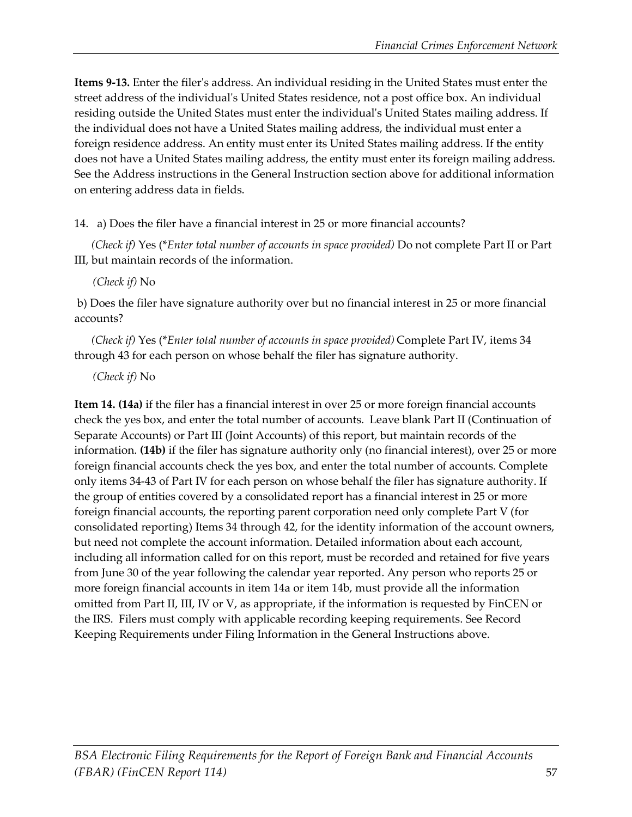**Items 9-13.** Enter the filer's address. An individual residing in the United States must enter the street address of the individual's United States residence, not a post office box. An individual residing outside the United States must enter the individual's United States mailing address. If the individual does not have a United States mailing address, the individual must enter a foreign residence address. An entity must enter its United States mailing address. If the entity does not have a United States mailing address, the entity must enter its foreign mailing address. See the Address instructions in the General Instruction section above for additional information on entering address data in fields.

14. a) Does the filer have a financial interest in 25 or more financial accounts?

 *(Check if)* Yes (\**Enter total number of accounts in space provided)* Do not complete Part II or Part III, but maintain records of the information.

 *(Check if)* No

b) Does the filer have signature authority over but no financial interest in 25 or more financial accounts?

 *(Check if)* Yes (\**Enter total number of accounts in space provided)* Complete Part IV, items 34 through 43 for each person on whose behalf the filer has signature authority.

 *(Check if)* No

**Item 14. (14a)** if the filer has a financial interest in over 25 or more foreign financial accounts check the yes box, and enter the total number of accounts. Leave blank Part II (Continuation of Separate Accounts) or Part III (Joint Accounts) of this report, but maintain records of the information. **(14b)** if the filer has signature authority only (no financial interest), over 25 or more foreign financial accounts check the yes box, and enter the total number of accounts. Complete only items 34-43 of Part IV for each person on whose behalf the filer has signature authority. If the group of entities covered by a consolidated report has a financial interest in 25 or more foreign financial accounts, the reporting parent corporation need only complete Part V (for consolidated reporting) Items 34 through 42, for the identity information of the account owners, but need not complete the account information. Detailed information about each account, including all information called for on this report, must be recorded and retained for five years from June 30 of the year following the calendar year reported. Any person who reports 25 or more foreign financial accounts in item 14a or item 14b, must provide all the information omitted from Part II, III, IV or V, as appropriate, if the information is requested by FinCEN or the IRS. Filers must comply with applicable recording keeping requirements. See Record Keeping Requirements under Filing Information in the General Instructions above.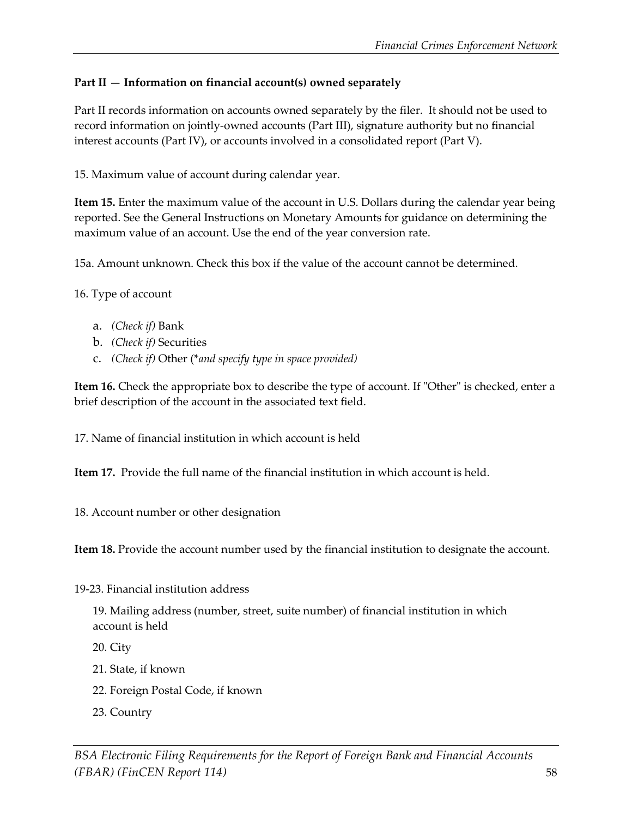#### **Part II — Information on financial account(s) owned separately**

Part II records information on accounts owned separately by the filer. It should not be used to record information on jointly-owned accounts (Part III), signature authority but no financial interest accounts (Part IV), or accounts involved in a consolidated report (Part V).

15. Maximum value of account during calendar year.

**Item 15.** Enter the maximum value of the account in U.S. Dollars during the calendar year being reported. See the General Instructions on Monetary Amounts for guidance on determining the maximum value of an account. Use the end of the year conversion rate.

15a. Amount unknown. Check this box if the value of the account cannot be determined.

16. Type of account

- a. *(Check if)* Bank
- b. *(Check if)* Securities
- c. *(Check if)* Other (\**and specify type in space provided)*

**Item 16.** Check the appropriate box to describe the type of account. If "Other" is checked, enter a brief description of the account in the associated text field.

17. Name of financial institution in which account is held

**Item 17.** Provide the full name of the financial institution in which account is held.

18. Account number or other designation

**Item 18.** Provide the account number used by the financial institution to designate the account.

19-23. Financial institution address

19. Mailing address (number, street, suite number) of financial institution in which account is held

20. City

21. State, if known

- 22. Foreign Postal Code, if known
- 23. Country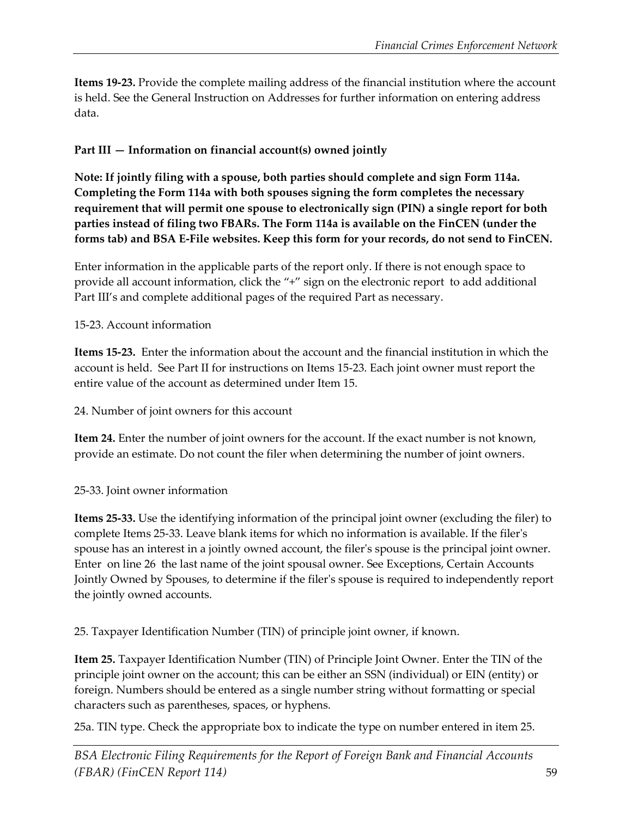**Items 19-23.** Provide the complete mailing address of the financial institution where the account is held. See the General Instruction on Addresses for further information on entering address data.

#### **Part III — Information on financial account(s) owned jointly**

**Note: If jointly filing with a spouse, both parties should complete and sign Form 114a. Completing the Form 114a with both spouses signing the form completes the necessary requirement that will permit one spouse to electronically sign (PIN) a single report for both parties instead of filing two FBARs. The Form 114a is available on the FinCEN (under the forms tab) and BSA E-File websites. Keep this form for your records, do not send to FinCEN.** 

Enter information in the applicable parts of the report only. If there is not enough space to provide all account information, click the "+" sign on the electronic report to add additional Part III's and complete additional pages of the required Part as necessary.

#### 15-23. Account information

**Items 15-23.** Enter the information about the account and the financial institution in which the account is held. See Part II for instructions on Items 15-23. Each joint owner must report the entire value of the account as determined under Item 15.

24. Number of joint owners for this account

**Item 24.** Enter the number of joint owners for the account. If the exact number is not known, provide an estimate. Do not count the filer when determining the number of joint owners.

#### 25-33. Joint owner information

**Items 25-33.** Use the identifying information of the principal joint owner (excluding the filer) to complete Items 25-33. Leave blank items for which no information is available. If the filer's spouse has an interest in a jointly owned account, the filer's spouse is the principal joint owner. Enter on line 26 the last name of the joint spousal owner. See Exceptions, Certain Accounts Jointly Owned by Spouses, to determine if the filer's spouse is required to independently report the jointly owned accounts.

25. Taxpayer Identification Number (TIN) of principle joint owner, if known.

**Item 25.** Taxpayer Identification Number (TIN) of Principle Joint Owner. Enter the TIN of the principle joint owner on the account; this can be either an SSN (individual) or EIN (entity) or foreign. Numbers should be entered as a single number string without formatting or special characters such as parentheses, spaces, or hyphens.

25a. TIN type. Check the appropriate box to indicate the type on number entered in item 25.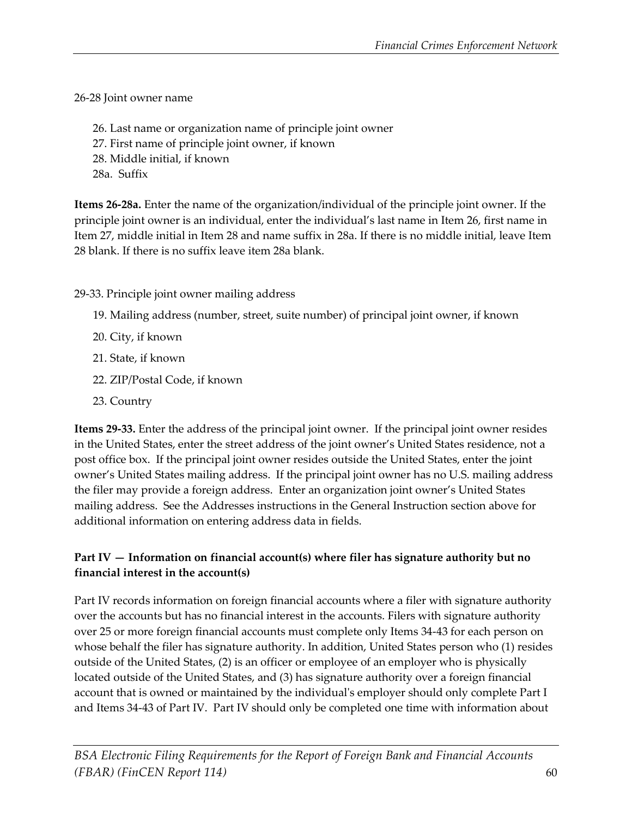26-28 Joint owner name

 26. Last name or organization name of principle joint owner 27. First name of principle joint owner, if known 28. Middle initial, if known 28a. Suffix

**Items 26-28a.** Enter the name of the organization/individual of the principle joint owner. If the

principle joint owner is an individual, enter the individual's last name in Item 26, first name in Item 27, middle initial in Item 28 and name suffix in 28a. If there is no middle initial, leave Item 28 blank. If there is no suffix leave item 28a blank.

29-33. Principle joint owner mailing address

- 19. Mailing address (number, street, suite number) of principal joint owner, if known
- 20. City, if known
- 21. State, if known
- 22. ZIP/Postal Code, if known
- 23. Country

**Items 29-33.** Enter the address of the principal joint owner. If the principal joint owner resides in the United States, enter the street address of the joint owner's United States residence, not a post office box. If the principal joint owner resides outside the United States, enter the joint owner's United States mailing address. If the principal joint owner has no U.S. mailing address the filer may provide a foreign address. Enter an organization joint owner's United States mailing address. See the Addresses instructions in the General Instruction section above for additional information on entering address data in fields.

#### **Part IV — Information on financial account(s) where filer has signature authority but no financial interest in the account(s)**

Part IV records information on foreign financial accounts where a filer with signature authority over the accounts but has no financial interest in the accounts. Filers with signature authority over 25 or more foreign financial accounts must complete only Items 34-43 for each person on whose behalf the filer has signature authority. In addition, United States person who (1) resides outside of the United States, (2) is an officer or employee of an employer who is physically located outside of the United States, and (3) has signature authority over a foreign financial account that is owned or maintained by the individual's employer should only complete Part I and Items 34-43 of Part IV. Part IV should only be completed one time with information about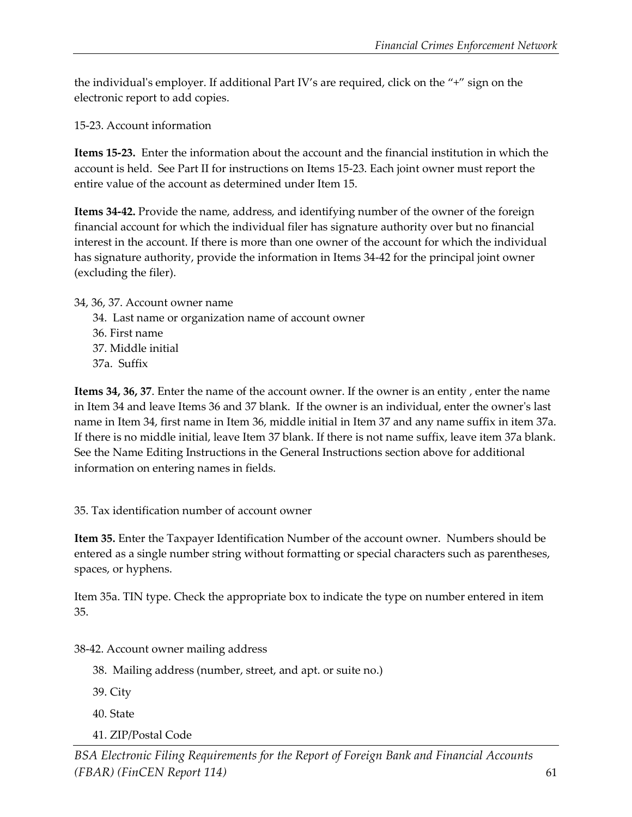the individual's employer. If additional Part IV's are required, click on the "+" sign on the electronic report to add copies.

15-23. Account information

**Items 15-23.** Enter the information about the account and the financial institution in which the account is held. See Part II for instructions on Items 15-23. Each joint owner must report the entire value of the account as determined under Item 15.

**Items 34-42.** Provide the name, address, and identifying number of the owner of the foreign financial account for which the individual filer has signature authority over but no financial interest in the account. If there is more than one owner of the account for which the individual has signature authority, provide the information in Items 34-42 for the principal joint owner (excluding the filer).

34, 36, 37. Account owner name

- 34. Last name or organization name of account owner
- 36. First name
- 37. Middle initial
- 37a. Suffix

**Items 34, 36, 37**. Enter the name of the account owner. If the owner is an entity , enter the name in Item 34 and leave Items 36 and 37 blank. If the owner is an individual, enter the owner's last name in Item 34, first name in Item 36, middle initial in Item 37 and any name suffix in item 37a. If there is no middle initial, leave Item 37 blank. If there is not name suffix, leave item 37a blank. See the Name Editing Instructions in the General Instructions section above for additional information on entering names in fields.

35. Tax identification number of account owner

**Item 35.** Enter the Taxpayer Identification Number of the account owner. Numbers should be entered as a single number string without formatting or special characters such as parentheses, spaces, or hyphens.

Item 35a. TIN type. Check the appropriate box to indicate the type on number entered in item 35.

38-42. Account owner mailing address

- 38. Mailing address (number, street, and apt. or suite no.)
- 39. City
- 40. State
- 41. ZIP/Postal Code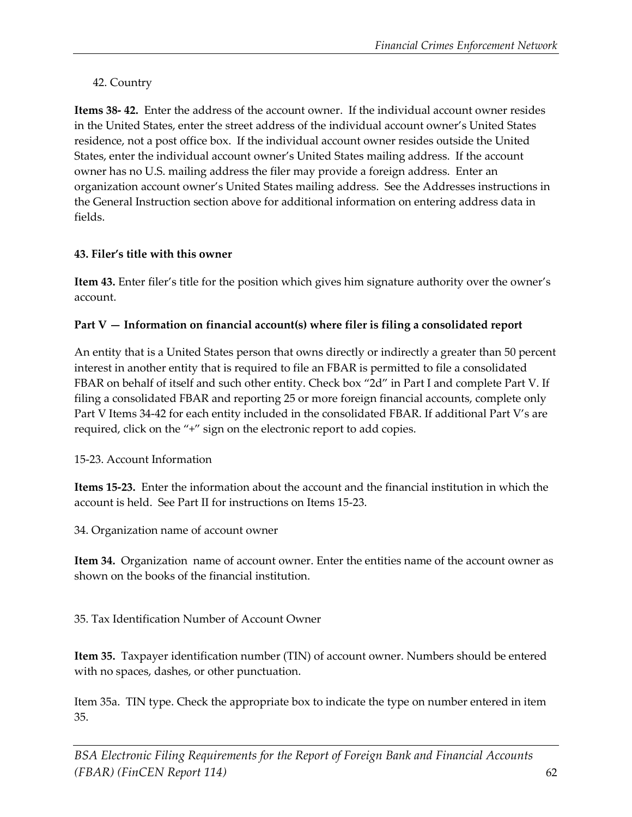#### 42. Country

**Items 38- 42.** Enter the address of the account owner. If the individual account owner resides in the United States, enter the street address of the individual account owner's United States residence, not a post office box. If the individual account owner resides outside the United States, enter the individual account owner's United States mailing address. If the account owner has no U.S. mailing address the filer may provide a foreign address. Enter an organization account owner's United States mailing address. See the Addresses instructions in the General Instruction section above for additional information on entering address data in fields.

#### **43. Filer's title with this owner**

**Item 43.** Enter filer's title for the position which gives him signature authority over the owner's account.

#### **Part V — Information on financial account(s) where filer is filing a consolidated report**

An entity that is a United States person that owns directly or indirectly a greater than 50 percent interest in another entity that is required to file an FBAR is permitted to file a consolidated FBAR on behalf of itself and such other entity. Check box "2d" in Part I and complete Part V. If filing a consolidated FBAR and reporting 25 or more foreign financial accounts, complete only Part V Items 34-42 for each entity included in the consolidated FBAR. If additional Part V's are required, click on the "+" sign on the electronic report to add copies.

15-23. Account Information

**Items 15-23.** Enter the information about the account and the financial institution in which the account is held. See Part II for instructions on Items 15-23.

34. Organization name of account owner

**Item 34.** Organization name of account owner. Enter the entities name of the account owner as shown on the books of the financial institution.

35. Tax Identification Number of Account Owner

**Item 35.** Taxpayer identification number (TIN) of account owner. Numbers should be entered with no spaces, dashes, or other punctuation.

Item 35a. TIN type. Check the appropriate box to indicate the type on number entered in item 35.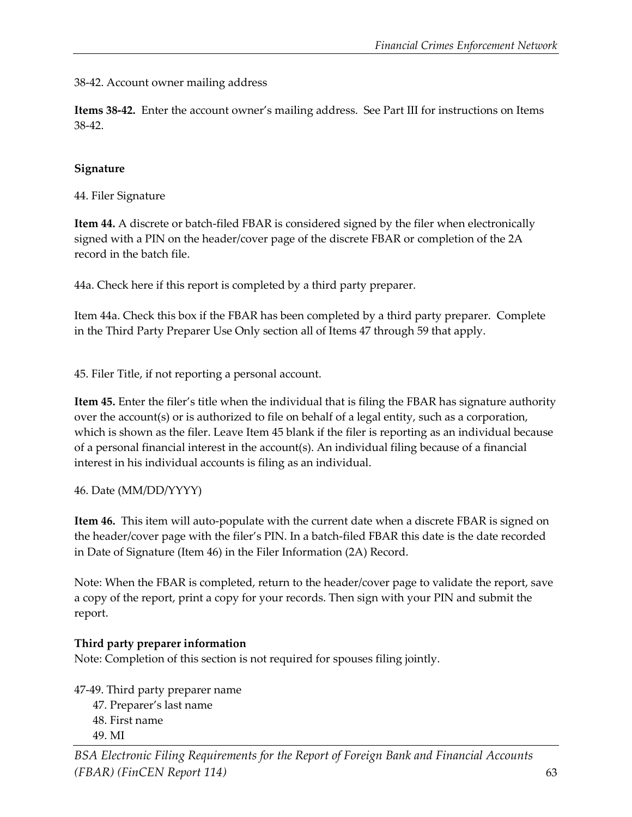38-42. Account owner mailing address

**Items 38-42.** Enter the account owner's mailing address. See Part III for instructions on Items 38-42.

#### **Signature**

44. Filer Signature

**Item 44.** A discrete or batch-filed FBAR is considered signed by the filer when electronically signed with a PIN on the header/cover page of the discrete FBAR or completion of the 2A record in the batch file.

44a. Check here if this report is completed by a third party preparer.

Item 44a. Check this box if the FBAR has been completed by a third party preparer. Complete in the Third Party Preparer Use Only section all of Items 47 through 59 that apply.

45. Filer Title, if not reporting a personal account.

**Item 45.** Enter the filer's title when the individual that is filing the FBAR has signature authority over the account(s) or is authorized to file on behalf of a legal entity, such as a corporation, which is shown as the filer. Leave Item 45 blank if the filer is reporting as an individual because of a personal financial interest in the account(s). An individual filing because of a financial interest in his individual accounts is filing as an individual.

#### 46. Date (MM/DD/YYYY)

**Item 46.** This item will auto-populate with the current date when a discrete FBAR is signed on the header/cover page with the filer's PIN. In a batch-filed FBAR this date is the date recorded in Date of Signature (Item 46) in the Filer Information (2A) Record.

Note: When the FBAR is completed, return to the header/cover page to validate the report, save a copy of the report, print a copy for your records. Then sign with your PIN and submit the report.

#### **Third party preparer information**

Note: Completion of this section is not required for spouses filing jointly.

47-49. Third party preparer name 47. Preparer's last name 48. First name

49. MI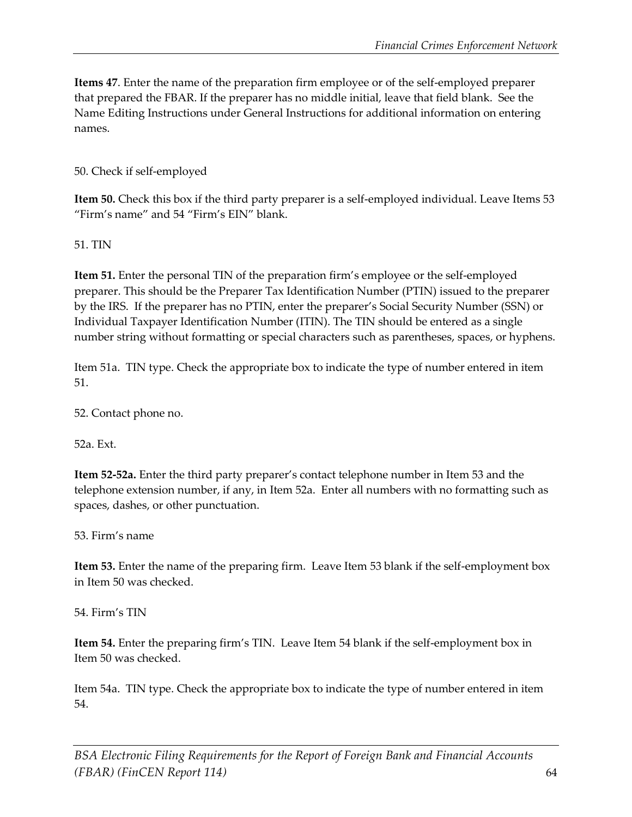**Items 47**. Enter the name of the preparation firm employee or of the self-employed preparer that prepared the FBAR. If the preparer has no middle initial, leave that field blank. See the Name Editing Instructions under General Instructions for additional information on entering names.

50. Check if self-employed

**Item 50.** Check this box if the third party preparer is a self-employed individual. Leave Items 53 "Firm's name" and 54 "Firm's EIN" blank.

51. TIN

**Item 51.** Enter the personal TIN of the preparation firm's employee or the self-employed preparer. This should be the Preparer Tax Identification Number (PTIN) issued to the preparer by the IRS. If the preparer has no PTIN, enter the preparer's Social Security Number (SSN) or Individual Taxpayer Identification Number (ITIN). The TIN should be entered as a single number string without formatting or special characters such as parentheses, spaces, or hyphens.

Item 51a. TIN type. Check the appropriate box to indicate the type of number entered in item 51.

52. Contact phone no.

52a. Ext.

**Item 52-52a.** Enter the third party preparer's contact telephone number in Item 53 and the telephone extension number, if any, in Item 52a. Enter all numbers with no formatting such as spaces, dashes, or other punctuation.

53. Firm's name

**Item 53.** Enter the name of the preparing firm. Leave Item 53 blank if the self-employment box in Item 50 was checked.

54. Firm's TIN

**Item 54.** Enter the preparing firm's TIN. Leave Item 54 blank if the self-employment box in Item 50 was checked.

Item 54a. TIN type. Check the appropriate box to indicate the type of number entered in item 54.

*BSA Electronic Filing Requirements for the Report of Foreign Bank and Financial Accounts (FBAR) (FinCEN Report 114)* 64